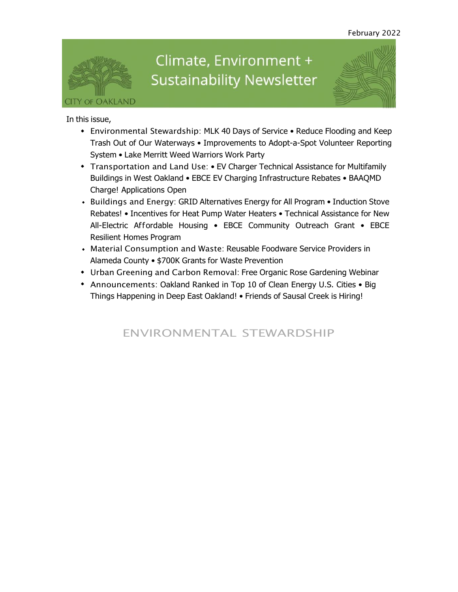

# Climate, Environment + **Sustainability Newsletter**



In this issue,

- Environmental Stewardship: MLK 40 Days of Service Reduce Flooding and Keep Trash Out of Our Waterways • Improvements to Adopt-a-Spot Volunteer Reporting System • Lake Merritt Weed Warriors Work Party
- Transportation and Land Use: EV Charger Technical Assistance for Multifamily Buildings in West Oakland • EBCE EV Charging Infrastructure Rebates • BAAQMD Charge! Applications Open
- Buildings and Energy: GRID Alternatives Energy for All Program Induction Stove Rebates! • Incentives for Heat Pump Water Heaters • Technical Assistance for New All-Electric Affordable Housing • EBCE Community Outreach Grant • EBCE Resilient Homes Program
- Material Consumption and Waste: Reusable Foodware Service Providers in Alameda County • \$700K Grants for Waste Prevention
- Urban Greening and Carbon Removal: Free Organic Rose Gardening Webinar
- Announcements: Oakland Ranked in Top 10 of Clean Energy U.S. Cities Big Things Happening in Deep East Oakland! • Friends of Sausal Creek is Hiring!

## ENVIRONMENTAL STEWARDSHIP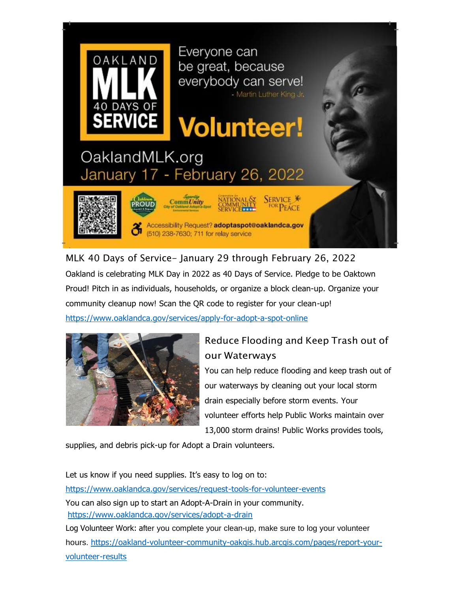

MLK 40 Days of Service- January 29 through February 26, 2022 Oakland is celebrating MLK Day in 2022 as 40 Days of Service. Pledge to be Oaktown Proud! Pitch in as individuals, households, or organize a block clean-up. Organize your community cleanup now! Scan the QR code to register for your clean-up!

[https://www.oaklandca.gov/services/apply-for-adopt-a-spot-online](https://oaklandca19202.lt.acemlna.com/Prod/link-tracker?notrack=1&redirectUrl=aHR0cHMlM0ElMkYlMkZ3d3cub2FrbGFuZGNhLmdvdiUyRnNlcnZpY2VzJTJGYXBwbHktZm9yLWFkb3B0LWEtc3BvdC1vbmxpbmU%3D&sig=ZKpqcvVwdWAG7SkKz7dEfJ2N33nXHMgzyFjq73j63YB&iat=1644954181&a=%7C%7C799335011%7C%7C&account=oaklandca19202%2Eactivehosted%2Ecom&email=LRRV6glqIfcVPcYsJBrMHi%2FZD%2BmsUFpJrc5fHf6IoVE%3D&s=bad97c655476f96a390a72c05a742011&i=1171A1161A11A20268)



## Reduce Flooding and Keep Trash out of our Waterways

You can help reduce flooding and keep trash out of our waterways by cleaning out your local storm drain especially before storm events. Your volunteer efforts help Public Works maintain over 13,000 storm drains! Public Works provides tools,

supplies, and debris pick-up for Adopt a Drain volunteers.

Let us know if you need supplies. It's easy to log on to: [https://www.oaklandca.gov/services/request-tools-for-volunteer-events](https://oaklandca19202.lt.acemlna.com/Prod/link-tracker?notrack=1&redirectUrl=aHR0cHMlM0ElMkYlMkZ3d3cub2FrbGFuZGNhLmdvdiUyRnNlcnZpY2VzJTJGcmVxdWVzdC10b29scy1mb3Itdm9sdW50ZWVyLWV2ZW50cw%3D%3D&sig=ACk6JqemsGKCSo4gwuhghbHDXn9eSv66kKbZdRLnw65Q&iat=1644954181&a=%7C%7C799335011%7C%7C&account=oaklandca19202%2Eactivehosted%2Ecom&email=LRRV6glqIfcVPcYsJBrMHi%2FZD%2BmsUFpJrc5fHf6IoVE%3D&s=bad97c655476f96a390a72c05a742011&i=1171A1161A11A21174) You can also sign up to start an Adopt-A-Drain in your community. [https://www.oaklandca.gov/services/adopt-a-drain](https://oaklandca19202.lt.acemlna.com/Prod/link-tracker?notrack=1&redirectUrl=aHR0cHMlM0ElMkYlMkZ3d3cub2FrbGFuZGNhLmdvdiUyRnNlcnZpY2VzJTJGYWRvcHQtYS1kcmFpbg%3D%3D&sig=E4rV2ehA3ZwvceN8Lh9MfBZwJSpAvS6p4TBmvnz5RXgB&iat=1644954181&a=%7C%7C799335011%7C%7C&account=oaklandca19202%2Eactivehosted%2Ecom&email=LRRV6glqIfcVPcYsJBrMHi%2FZD%2BmsUFpJrc5fHf6IoVE%3D&s=bad97c655476f96a390a72c05a742011&i=1171A1161A11A21175) Log Volunteer Work: after you complete your clean-up, make sure to log your volunteer hours. [https://oakland-volunteer-community-oakgis.hub.arcgis.com/pages/report-your](https://oaklandca19202.lt.acemlna.com/Prod/link-tracker?notrack=1&redirectUrl=aHR0cHMlM0ElMkYlMkZvYWtsYW5kLXZvbHVudGVlci1jb21tdW5pdHktb2FrZ2lzLmh1Yi5hcmNnaXMuY29tJTJGcGFnZXMlMkZyZXBvcnQteW91ci12b2x1bnRlZXItcmVzdWx0cw%3D%3D&sig=CXPryXHN75A2kjQjoVsh9BzPiQg5LJWztUTPypVRoVoj&iat=1644954181&a=%7C%7C799335011%7C%7C&account=oaklandca19202%2Eactivehosted%2Ecom&email=LRRV6glqIfcVPcYsJBrMHi%2FZD%2BmsUFpJrc5fHf6IoVE%3D&s=bad97c655476f96a390a72c05a742011&i=1171A1161A11A20269)[volunteer-results](https://oaklandca19202.lt.acemlna.com/Prod/link-tracker?notrack=1&redirectUrl=aHR0cHMlM0ElMkYlMkZvYWtsYW5kLXZvbHVudGVlci1jb21tdW5pdHktb2FrZ2lzLmh1Yi5hcmNnaXMuY29tJTJGcGFnZXMlMkZyZXBvcnQteW91ci12b2x1bnRlZXItcmVzdWx0cw%3D%3D&sig=CXPryXHN75A2kjQjoVsh9BzPiQg5LJWztUTPypVRoVoj&iat=1644954181&a=%7C%7C799335011%7C%7C&account=oaklandca19202%2Eactivehosted%2Ecom&email=LRRV6glqIfcVPcYsJBrMHi%2FZD%2BmsUFpJrc5fHf6IoVE%3D&s=bad97c655476f96a390a72c05a742011&i=1171A1161A11A20269)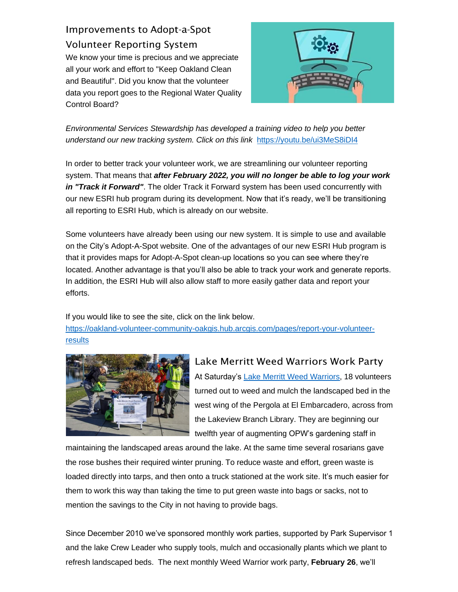## Improvements to Adopt-a-Spot Volunteer Reporting System

We know your time is precious and we appreciate all your work and effort to "Keep Oakland Clean and Beautiful". Did you know that the volunteer data you report goes to the Regional Water Quality Control Board?



*Environmental Services Stewardship has developed a training video to help you better understand our new tracking system. Click on this link* [https://youtu.be/ui3MeS8iDI4](https://oaklandca19202.lt.acemlna.com/Prod/link-tracker?notrack=1&redirectUrl=aHR0cHMlM0ElMkYlMkZ5b3V0dS5iZSUyRnVpM01lUzhpREk0&sig=ECx15nCBSLxh9bfdzgCknD7g1dzRR9PJvLgvRf4JkETq&iat=1644954181&a=%7C%7C799335011%7C%7C&account=oaklandca19202%2Eactivehosted%2Ecom&email=LRRV6glqIfcVPcYsJBrMHi%2FZD%2BmsUFpJrc5fHf6IoVE%3D&s=bad97c655476f96a390a72c05a742011&i=1171A1161A11A21176)

In order to better track your volunteer work, we are streamlining our volunteer reporting system. That means that *after February 2022, you will no longer be able to log your work in "Track it Forward"*. The older Track it Forward system has been used concurrently with our new ESRI hub program during its development. Now that it's ready, we'll be transitioning all reporting to ESRI Hub, which is already on our website.

Some volunteers have already been using our new system. It is simple to use and available on the City's Adopt-A-Spot website. One of the advantages of our new ESRI Hub program is that it provides maps for Adopt-A-Spot clean-up locations so you can see where they're located. Another advantage is that you'll also be able to track your work and generate reports. In addition, the ESRI Hub will also allow staff to more easily gather data and report your efforts.

If you would like to see the site, click on the link below.

[https://oakland-volunteer-community-oakgis.hub.arcgis.com/pages/report-your-volunteer](https://oaklandca19202.lt.acemlna.com/Prod/link-tracker?notrack=1&redirectUrl=aHR0cHMlM0ElMkYlMkZvYWtsYW5kLXZvbHVudGVlci1jb21tdW5pdHktb2FrZ2lzLmh1Yi5hcmNnaXMuY29tJTJGcGFnZXMlMkZyZXBvcnQteW91ci12b2x1bnRlZXItcmVzdWx0cw%3D%3D&sig=CXPryXHN75A2kjQjoVsh9BzPiQg5LJWztUTPypVRoVoj&iat=1644954181&a=%7C%7C799335011%7C%7C&account=oaklandca19202%2Eactivehosted%2Ecom&email=LRRV6glqIfcVPcYsJBrMHi%2FZD%2BmsUFpJrc5fHf6IoVE%3D&s=bad97c655476f96a390a72c05a742011&i=1171A1161A11A20269)[results](https://oaklandca19202.lt.acemlna.com/Prod/link-tracker?notrack=1&redirectUrl=aHR0cHMlM0ElMkYlMkZvYWtsYW5kLXZvbHVudGVlci1jb21tdW5pdHktb2FrZ2lzLmh1Yi5hcmNnaXMuY29tJTJGcGFnZXMlMkZyZXBvcnQteW91ci12b2x1bnRlZXItcmVzdWx0cw%3D%3D&sig=CXPryXHN75A2kjQjoVsh9BzPiQg5LJWztUTPypVRoVoj&iat=1644954181&a=%7C%7C799335011%7C%7C&account=oaklandca19202%2Eactivehosted%2Ecom&email=LRRV6glqIfcVPcYsJBrMHi%2FZD%2BmsUFpJrc5fHf6IoVE%3D&s=bad97c655476f96a390a72c05a742011&i=1171A1161A11A20269)



#### Lake Merritt Weed Warriors Work Party

At Saturday's [Lake Merritt Weed Warriors,](https://oaklandca19202.lt.acemlna.com/Prod/link-tracker?notrack=1&redirectUrl=aHR0cHMlM0ElMkYlMkZ3d3cubGFrZW1lcnJpdHQub3JnJTJGbG0td2VlZC13YXJyaW9ycy5odG1s&sig=3NA7qva6AhD4gXJwQpy6dfjAGh64isojKdxbB2E5c5rk&iat=1644954181&a=%7C%7C799335011%7C%7C&account=oaklandca19202%2Eactivehosted%2Ecom&email=LRRV6glqIfcVPcYsJBrMHi%2FZD%2BmsUFpJrc5fHf6IoVE%3D&s=bad97c655476f96a390a72c05a742011&i=1171A1161A11A21177) 18 volunteers turned out to weed and mulch the landscaped bed in the west wing of the Pergola at El Embarcadero, across from the Lakeview Branch Library. They are beginning our twelfth year of augmenting OPW's gardening staff in

maintaining the landscaped areas around the lake. At the same time several rosarians gave the rose bushes their required winter pruning. To reduce waste and effort, green waste is loaded directly into tarps, and then onto a truck stationed at the work site. It's much easier for them to work this way than taking the time to put green waste into bags or sacks, not to mention the savings to the City in not having to provide bags.

Since December 2010 we've sponsored monthly work parties, supported by Park Supervisor 1 and the lake Crew Leader who supply tools, mulch and occasionally plants which we plant to refresh landscaped beds. The next monthly Weed Warrior work party, **February 26**, we'll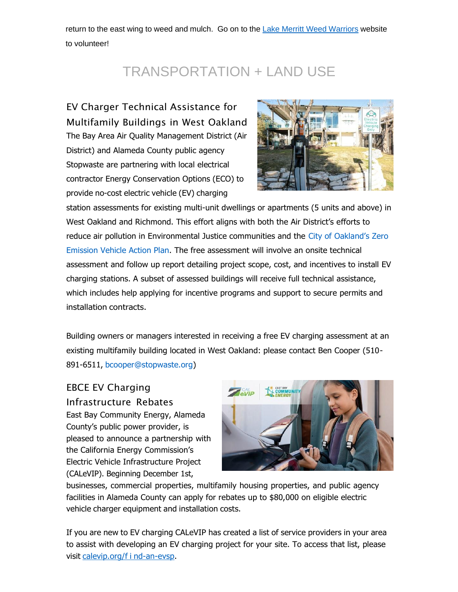return to the east wing to weed and mulch. Go on to the Lake Merritt Weed [Warriors](https://oaklandca19202.lt.acemlna.com/Prod/link-tracker?notrack=1&redirectUrl=aHR0cHMlM0ElMkYlMkZ3d3cubGFrZW1lcnJpdHQub3JnJTJGbG0td2VlZC13YXJyaW9ycy5odG1s&sig=3NA7qva6AhD4gXJwQpy6dfjAGh64isojKdxbB2E5c5rk&iat=1644954181&a=%7C%7C799335011%7C%7C&account=oaklandca19202%2Eactivehosted%2Ecom&email=LRRV6glqIfcVPcYsJBrMHi%2FZD%2BmsUFpJrc5fHf6IoVE%3D&s=bad97c655476f96a390a72c05a742011&i=1171A1161A11A21177) website to volunteer!

## TRANSPORTATION + LAND USE

EV Charger Technical Assistance for Multifamily Buildings in West Oakland The Bay Area Air Quality Management District (Air District) and Alameda County public agency Stopwaste are partnering with local electrical contractor Energy Conservation Options (ECO) to provide no-cost electric vehicle (EV) charging



station assessments for existing multi-unit dwellings or apartments (5 units and above) in West Oakland and Richmond. This effort aligns with both the Air District's efforts to [reduce air pollution in Environmental Justice communities and the City of Oakla](https://oaklandca19202.lt.acemlna.com/Prod/link-tracker?notrack=1&redirectUrl=aHR0cHMlM0ElMkYlMkZ1cmxkZWZlbnNlLnByb29mcG9pbnQuY29tJTJGdjIlMkZ1cmwlM0Z1JTNEaHR0cHMtM0FfX25hbTAyLnNhZmVsaW5rcy5wcm90ZWN0aW9uLm91dGxvb2suY29tXy0zRnVybC0zRGh0dHBzLTI1M0EtMjUyRi0yNTJGd3d3Lm9ha2xhbmRjYS5nb3YtMjUyRnByb2plY3RzLTI1MkZ6ZXJvLTJEZW1pc3Npb24tMkR2ZWhpY2xlLTJEYWN0aW9uLTJEcGxhbi0yNmRhdGEtM0QwNC0yNTdDMDEtMjU3Qy0yNTdDOGZhODQwYWEwY2JlNDExZDBkODYwOGQ5YmI1OGRmN2EtMjU3Qzg1NWRlZmFhYmRhZTRlNjI4MWU1M2JiN2FhMDRmYzNhLTI1N0MwLTI1N0MwLTI1N0M2Mzc3NDY4MTI2NjI5NDc3MTMtMjU3Q1Vua25vd24tMjU3Q1RXRnBiR1pzYjNkOGV5SldJam9pTUM0d0xqQXdNREFpTENKUUlqb2lWMmx1TXpJaUxDSkJUaUk2SWsxaGFXd2lMQ0pYVkNJNk1uMC0yNTNELTI1N0MzMDAwLTI2c2RhdGEtM0RpbW02LTI1MkZJaGUzN2ZaakJlR3p0VGFNN0dCNVp5My0yNTJCUnlpcXVOLTI1MkJvckRFMUFZLTI1M0QtMjZyZXNlcnZlZC0zRDAlMjZkJTNERHdNRkFnJTI2YyUzRDZaYm9LZEp6UjhuWk9xd0JqaFBuQ3clMjZyJTNEOVpiS3hnMHZoUWFZbGRxN3JQYS1oNmkzZlBfemhhYk5xWDJJVzNUX2NwQSUyNm0lM0RmdFdPYmVBNHEwRFNnQWpEaVJxdEhQaGlUaHNnVF9pQnNCWHpzb3A3Y1B3eUhsd1FGSlBwaWxDLTlwWTJ4RjJaJTI2cyUzRGJkaDNId0RBNGQweGV2YmNtd0M3QjZVTEJjNzEzMGVUWmdNWDNIWV9lbTglMjZlJTNE&sig=5U66mNqa572Jrtd5whatxUPHcLQ9maR9Bovv59KGrqDj&iat=1644954181&a=%7C%7C799335011%7C%7C&account=oaklandca19202%2Eactivehosted%2Ecom&email=LRRV6glqIfcVPcYsJBrMHi%2FZD%2BmsUFpJrc5fHf6IoVE%3D&s=bad97c655476f96a390a72c05a742011&i=1171A1161A11A20279)nd's Zero [Emission Vehicle Action Plan. The free assessment will involve an onsite technical](https://oaklandca19202.lt.acemlna.com/Prod/link-tracker?notrack=1&redirectUrl=aHR0cHMlM0ElMkYlMkZ1cmxkZWZlbnNlLnByb29mcG9pbnQuY29tJTJGdjIlMkZ1cmwlM0Z1JTNEaHR0cHMtM0FfX25hbTAyLnNhZmVsaW5rcy5wcm90ZWN0aW9uLm91dGxvb2suY29tXy0zRnVybC0zRGh0dHBzLTI1M0EtMjUyRi0yNTJGd3d3Lm9ha2xhbmRjYS5nb3YtMjUyRnByb2plY3RzLTI1MkZ6ZXJvLTJEZW1pc3Npb24tMkR2ZWhpY2xlLTJEYWN0aW9uLTJEcGxhbi0yNmRhdGEtM0QwNC0yNTdDMDEtMjU3Qy0yNTdDOGZhODQwYWEwY2JlNDExZDBkODYwOGQ5YmI1OGRmN2EtMjU3Qzg1NWRlZmFhYmRhZTRlNjI4MWU1M2JiN2FhMDRmYzNhLTI1N0MwLTI1N0MwLTI1N0M2Mzc3NDY4MTI2NjI5NDc3MTMtMjU3Q1Vua25vd24tMjU3Q1RXRnBiR1pzYjNkOGV5SldJam9pTUM0d0xqQXdNREFpTENKUUlqb2lWMmx1TXpJaUxDSkJUaUk2SWsxaGFXd2lMQ0pYVkNJNk1uMC0yNTNELTI1N0MzMDAwLTI2c2RhdGEtM0RpbW02LTI1MkZJaGUzN2ZaakJlR3p0VGFNN0dCNVp5My0yNTJCUnlpcXVOLTI1MkJvckRFMUFZLTI1M0QtMjZyZXNlcnZlZC0zRDAlMjZkJTNERHdNRkFnJTI2YyUzRDZaYm9LZEp6UjhuWk9xd0JqaFBuQ3clMjZyJTNEOVpiS3hnMHZoUWFZbGRxN3JQYS1oNmkzZlBfemhhYk5xWDJJVzNUX2NwQSUyNm0lM0RmdFdPYmVBNHEwRFNnQWpEaVJxdEhQaGlUaHNnVF9pQnNCWHpzb3A3Y1B3eUhsd1FGSlBwaWxDLTlwWTJ4RjJaJTI2cyUzRGJkaDNId0RBNGQweGV2YmNtd0M3QjZVTEJjNzEzMGVUWmdNWDNIWV9lbTglMjZlJTNE&sig=5U66mNqa572Jrtd5whatxUPHcLQ9maR9Bovv59KGrqDj&iat=1644954181&a=%7C%7C799335011%7C%7C&account=oaklandca19202%2Eactivehosted%2Ecom&email=LRRV6glqIfcVPcYsJBrMHi%2FZD%2BmsUFpJrc5fHf6IoVE%3D&s=bad97c655476f96a390a72c05a742011&i=1171A1161A11A20279) assessment and follow up report detailing project scope, cost, and incentives to install EV charging stations. A subset of assessed buildings will receive full technical assistance, which includes help applying for incentive programs and support to secure permits and installation contracts.

Building owners or managers interested in receiving a free EV charging assessment at an existing multifamily building located in West Oakland: please contact Ben Cooper (510- 891-6511, [bcooper@stopwaste.org\)](mailto:bcooper@stopwaste.org)

#### EBCE EV Charging Infrastructure Rebates

East Bay Community Energy, Alameda County's public power provider, is pleased to announce a partnership with the California Energy Commission's Electric Vehicle Infrastructure Project (CALeVIP). Beginning December 1st,



businesses, commercial properties, multifamily housing properties, and public agency facilities in Alameda County can apply for rebates up to \$80,000 on eligible electric vehicle charger equipment and installation costs.

If you are new to EV charging CALeVIP has created a list of service providers in your area to assist with developing an EV charging project for your site. To access that list, please visit [calevip.org/f i](https://oaklandca19202.lt.acemlna.com/Prod/link-tracker?notrack=1&redirectUrl=aHR0cCUzQSUyRiUyRmNhbGV2aXAub3JnJTJGZmluZC1hbi1ldnNw&sig=23sTf3mbQcXieS8MHpBkWmsPRUnsocVNbs1Diaxt69tr&iat=1644954181&a=%7C%7C799335011%7C%7C&account=oaklandca19202%2Eactivehosted%2Ecom&email=LRRV6glqIfcVPcYsJBrMHi%2FZD%2BmsUFpJrc5fHf6IoVE%3D&s=bad97c655476f96a390a72c05a742011&i=1171A1161A11A20280) nd-an-evsp.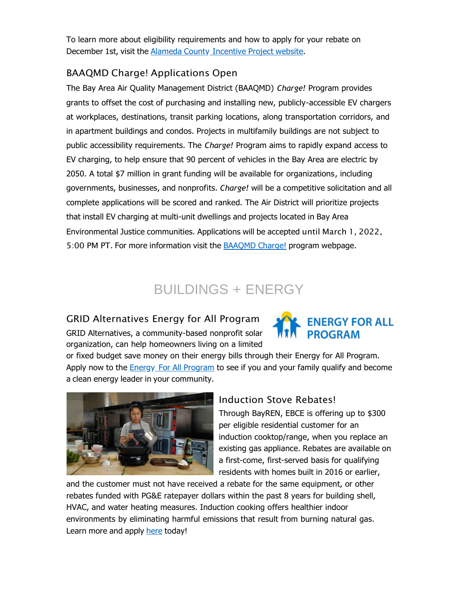To learn more about eligibility requirements and how to apply for your rebate on December 1st, visit the Alameda County [Incentive](https://oaklandca19202.lt.acemlna.com/Prod/link-tracker?notrack=1&redirectUrl=aHR0cHMlM0ElMkYlMkZjYWxldmlwLm9yZyUyRmluY2VudGl2ZS1wcm9qZWN0JTJGYWxhbWVkYS1jb3VudHk%3D&sig=BfpJ9bdrNJXokDTxiVmpJmRuc9SDViQxYcDqrXyqgjST&iat=1644954181&a=%7C%7C799335011%7C%7C&account=oaklandca19202%2Eactivehosted%2Ecom&email=LRRV6glqIfcVPcYsJBrMHi%2FZD%2BmsUFpJrc5fHf6IoVE%3D&s=bad97c655476f96a390a72c05a742011&i=1171A1161A11A20281) Project website.

#### BAAQMD Charge! Applications Open

The Bay Area Air Quality Management District (BAAQMD) *Charge!* Program provides grants to offset the cost of purchasing and installing new, publicly-accessible EV chargers at workplaces, destinations, transit parking locations, along transportation corridors, and in apartment buildings and condos. Projects in multifamily buildings are not subject to public accessibility requirements. The *Charge!* Program aims to rapidly expand access to EV charging, to help ensure that 90 percent of vehicles in the Bay Area are electric by 2050. A total \$7 million in grant funding will be available for organizations, including governments, businesses, and nonprofits. *Charge!* will be a competitive solicitation and all complete applications will be scored and ranked. The Air District will prioritize projects that install EV charging at multi-unit dwellings and projects located in Bay Area Environmental Justice communities. Applications will be accepted until March 1, 2022, 5:00 PM PT. For more information visit the **[BAAQMD](https://oaklandca19202.lt.acemlna.com/Prod/link-tracker?notrack=1&redirectUrl=aHR0cHMlM0ElMkYlMkZ3d3cuYmFhcW1kLmdvdiUyRiUzRnNjX2l0ZW1pZCUzREYwMjZENEFDLUZFNjktNEZCRC05MjMyLTE4N0UxN0ZDNDI4RA%3D%3D&sig=HC6oP2CzCayz5Sca82sFL4PJaaweunBU8ZMjLFy3aWJx&iat=1644954181&a=%7C%7C799335011%7C%7C&account=oaklandca19202%2Eactivehosted%2Ecom&email=LRRV6glqIfcVPcYsJBrMHi%2FZD%2BmsUFpJrc5fHf6IoVE%3D&s=bad97c655476f96a390a72c05a742011&i=1171A1161A11A20282) Charge!** program webpage.

## BUILDINGS + ENERGY

#### GRID Alternatives Energy for All Program

GRID Alternatives, a community-based nonprofit solar organization, can help homeowners living on a limited



or fixed budget save money on their energy bills through their Energy for All Program. Apply now to the Energy For All [Program](https://oaklandca19202.lt.acemlna.com/Prod/link-tracker?notrack=1&redirectUrl=aHR0cHMlM0ElMkYlMkZ3d3cuZW5lcmd5Zm9yYWxscHJvZ3JhbS5vcmclMkY%3D&sig=3SWm41ZJFCBkP46KLiUAHPTkrch7LPVmU7Ga7qvUyrr4&iat=1644954181&a=%7C%7C799335011%7C%7C&account=oaklandca19202%2Eactivehosted%2Ecom&email=LRRV6glqIfcVPcYsJBrMHi%2FZD%2BmsUFpJrc5fHf6IoVE%3D&s=bad97c655476f96a390a72c05a742011&i=1171A1161A11A21182) to see if you and your family qualify and become a clean energy leader in your community.



#### Induction Stove Rebates!

Through BayREN, EBCE is offering up to \$300 per eligible residential customer for an induction cooktop/range, when you replace an existing gas appliance. Rebates are available on a first-come, first-served basis for qualifying residents with homes built in 2016 or earlier,

and the customer must not have received a rebate for the same equipment, or other rebates funded with PG&E ratepayer dollars within the past 8 years for building shell, HVAC, and water heating measures. Induction cooking offers healthier indoor environments by eliminating harmful emissions that result from burning natural gas. Learn more and apply [here](https://oaklandca19202.lt.acemlna.com/Prod/link-tracker?notrack=1&redirectUrl=aHR0cHMlM0ElMkYlMkZiYXlyZW4ub3JnJTJGaG9tZW93bmVycyUyRmluZHVjdGlvbi1jb29rdG9wcw%3D%3D&sig=HZYBctHysJ67bvsvyKXTUr2dB4a5Dw563uXbsg2mMtd4&iat=1644954181&a=%7C%7C799335011%7C%7C&account=oaklandca19202%2Eactivehosted%2Ecom&email=LRRV6glqIfcVPcYsJBrMHi%2FZD%2BmsUFpJrc5fHf6IoVE%3D&s=bad97c655476f96a390a72c05a742011&i=1171A1161A11A20283) today!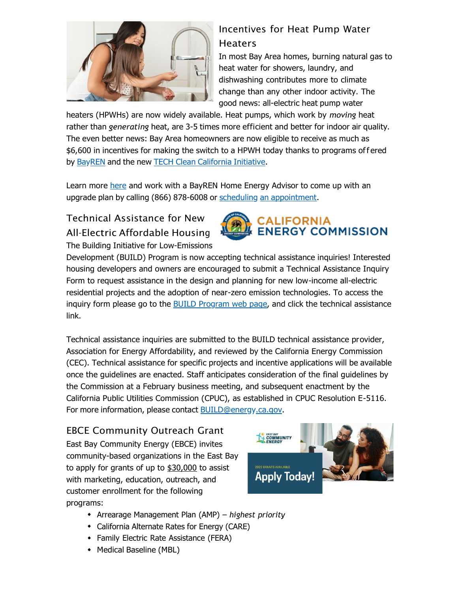

### Incentives for Heat Pump Water Heaters

In most Bay Area homes, burning natural gas to heat water for showers, laundry, and dishwashing contributes more to climate change than any other indoor activity. The good news: all-electric heat pump water

heaters (HPWHs) are now widely available. Heat pumps, which work by *moving* heat rather than *generating* heat, are 3-5 times more efficient and better for indoor air quality. The even better news: Bay Area homeowners are now eligible to receive as much as \$6,600 in incentives for making the switch to a HPWH today thanks to programs off ered by [BayREN](https://oaklandca19202.lt.acemlna.com/Prod/link-tracker?notrack=1&redirectUrl=aHR0cHMlM0ElMkYlMkZ3d3cuYmF5cmVuLm9yZyUyRg%3D%3D&sig=sSGMqm8q38Phm5MH2n9SqKUw6Sjvv7v6W899syg91iy&iat=1644954181&a=%7C%7C799335011%7C%7C&account=oaklandca19202%2Eactivehosted%2Ecom&email=LRRV6glqIfcVPcYsJBrMHi%2FZD%2BmsUFpJrc5fHf6IoVE%3D&s=bad97c655476f96a390a72c05a742011&i=1171A1161A11A21178) and the new TECH Clean [California](https://oaklandca19202.lt.acemlna.com/Prod/link-tracker?notrack=1&redirectUrl=aHR0cHMlM0ElMkYlMkZlbmVyZ3ktc29sdXRpb24uY29tJTJGdGVjaC1pbmNlbnRpdmVzJTJG&sig=EkqZ3R2igVt7qAcTnF1t9dsgdnW1Uvfw76N7ZmPSxkZ7&iat=1644954181&a=%7C%7C799335011%7C%7C&account=oaklandca19202%2Eactivehosted%2Ecom&email=LRRV6glqIfcVPcYsJBrMHi%2FZD%2BmsUFpJrc5fHf6IoVE%3D&s=bad97c655476f96a390a72c05a742011&i=1171A1161A11A21179) Initiative.

Learn more [here](https://oaklandca19202.lt.acemlna.com/Prod/link-tracker?notrack=1&redirectUrl=aHR0cHMlM0ElMkYlMkZ3d3cuYmF5cmVuLm9yZyUyRmhvbWVvd25lcnMlMkZoZWF0LXB1bXAtd2F0ZXItaGVhdGVycw%3D%3D&sig=J5b3qFC9ReZ8WiNq52uTy3GBtsFo2cSLHu9EE1nYgP6Z&iat=1644954181&a=%7C%7C799335011%7C%7C&account=oaklandca19202%2Eactivehosted%2Ecom&email=LRRV6glqIfcVPcYsJBrMHi%2FZD%2BmsUFpJrc5fHf6IoVE%3D&s=bad97c655476f96a390a72c05a742011&i=1171A1161A11A21180) and work with a BayREN Home Energy Advisor to come up with an upgrade plan by calling (866) 878-6008 or scheduling an [appointment.](https://oaklandca19202.lt.acemlna.com/Prod/link-tracker?notrack=1&redirectUrl=aHR0cHMlM0ElMkYlMkZvdXRsb29rLm9mZmljZTM2NS5jb20lMkZvd2ElMkZjYWxlbmRhciUyRkJheVJFTkVuZXJneUFkdmlzb3IlNDBjbGVhcmVzdWx0NS5vbm1pY3Jvc29mdC5jb20lMkZib29raW5ncyUyRg%3D%3D&sig=AcgzaH5fT23BZYvcjsoLT55DSTbSPMwTVaFVKP5hqxgf&iat=1644954181&a=%7C%7C799335011%7C%7C&account=oaklandca19202%2Eactivehosted%2Ecom&email=LRRV6glqIfcVPcYsJBrMHi%2FZD%2BmsUFpJrc5fHf6IoVE%3D&s=bad97c655476f96a390a72c05a742011&i=1171A1161A11A21181)

#### Technical Assistance for New All-Electric Affordable Housing The Building Initiative for Low-Emissions



Development (BUILD) Program is now accepting technical assistance inquiries! Interested housing developers and owners are encouraged to submit a Technical Assistance Inquiry Form to request assistance in the design and planning for new low-income all-electric residential projects and the adoption of near-zero emission technologies. To access the inquiry form please go to the BUILD [Program](https://oaklandca19202.lt.acemlna.com/Prod/link-tracker?notrack=1&redirectUrl=aHR0cHMlM0ElMkYlMkZ3d3cuZW5lcmd5LmNhLmdvdiUyRnByb2dyYW1zLWFuZC10b3BpY3MlMkZwcm9ncmFtcyUyRmJ1aWxkaW5nLWluaXRpYXRpdmUtbG93LWVtaXNzaW9ucy1kZXZlbG9wbWVudC1wcm9ncmFt&sig=8119ufMpkFgnYrzNWy198Y4vyfEYU1G7ExjLeUS8tvXY&iat=1644954181&a=%7C%7C799335011%7C%7C&account=oaklandca19202%2Eactivehosted%2Ecom&email=LRRV6glqIfcVPcYsJBrMHi%2FZD%2BmsUFpJrc5fHf6IoVE%3D&s=bad97c655476f96a390a72c05a742011&i=1171A1161A11A21183) web page, and click the technical assistance link.

Technical assistance inquiries are submitted to the BUILD technical assistance provider, Association for Energy Affordability, and reviewed by the California Energy Commission (CEC). Technical assistance for specific projects and incentive applications will be available once the guidelines are enacted. Staff anticipates consideration of the final guidelines by the Commission at a February business meeting, and subsequent enactment by the California Public Utilities Commission (CPUC), as established in CPUC Resolution E-5116. For more information, please contact [BUILD@energy.ca.gov.](mailto:BUILD@energy.ca.gov)

EBCE Community Outreach Grant East Bay Community Energy (EBCE) invites community-based organizations in the East Bay to apply for grants of up to \$30,000 to assist with marketing, education, outreach, and customer enrollment for the following programs:



- Arrearage Management Plan (AMP) *highest priority*
- California Alternate Rates for Energy (CARE)
- Family Electric Rate Assistance (FERA)
- Medical Baseline (MBL)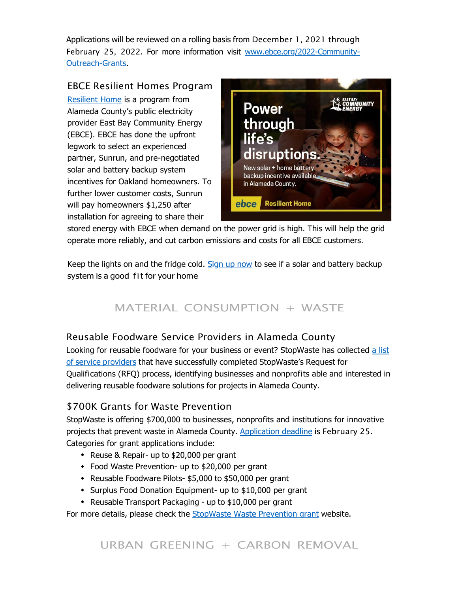Applications will be reviewed on a rolling basis from December 1, 2021 through February 25, 2022[. For more information visit www.ebce.org/2022-Community-](https://oaklandca19202.lt.acemlna.com/Prod/link-tracker?notrack=1&redirectUrl=aHR0cCUzQSUyRiUyRnd3dy5lYmNlLm9yZyUyRjIwMjItQ29tbXVuaXR5LU91dHJlYWNoLUdyYW50cw%3D%3D&sig=CxhSKQtGAsec2E7yWHtWMxopvEMFaA2FJuwrh5ekSdUw&iat=1644954181&a=%7C%7C799335011%7C%7C&account=oaklandca19202%2Eactivehosted%2Ecom&email=LRRV6glqIfcVPcYsJBrMHi%2FZD%2BmsUFpJrc5fHf6IoVE%3D&s=bad97c655476f96a390a72c05a742011&i=1171A1161A11A20285)[Outreach-Grants.](https://oaklandca19202.lt.acemlna.com/Prod/link-tracker?notrack=1&redirectUrl=aHR0cCUzQSUyRiUyRnd3dy5lYmNlLm9yZyUyRjIwMjItQ29tbXVuaXR5LU91dHJlYWNoLUdyYW50cw%3D%3D&sig=CxhSKQtGAsec2E7yWHtWMxopvEMFaA2FJuwrh5ekSdUw&iat=1644954181&a=%7C%7C799335011%7C%7C&account=oaklandca19202%2Eactivehosted%2Ecom&email=LRRV6glqIfcVPcYsJBrMHi%2FZD%2BmsUFpJrc5fHf6IoVE%3D&s=bad97c655476f96a390a72c05a742011&i=1171A1161A11A20285)

EBCE Resilient Homes Program [Resilient Home](https://oaklandca19202.lt.acemlna.com/Prod/link-tracker?notrack=1&redirectUrl=aHR0cHMlM0ElMkYlMkZlYmNlLm9yZyUyRnJlc2lsaWVudC1ob21lJTJGJTNGY2FtcGFpZ25JRCUzRE5ld3NsZXR0ZXI%3D&sig=tm6bgZwcS8NjGrebbBUUNzW4tbyeoE7DYFBJzEgWyao&iat=1644954181&a=%7C%7C799335011%7C%7C&account=oaklandca19202%2Eactivehosted%2Ecom&email=LRRV6glqIfcVPcYsJBrMHi%2FZD%2BmsUFpJrc5fHf6IoVE%3D&s=bad97c655476f96a390a72c05a742011&i=1171A1161A11A20286) is a program from Alameda County's public electricity provider East Bay Community Energy (EBCE). EBCE has done the upfront legwork to select an experienced partner, Sunrun, and pre-negotiated solar and battery backup system incentives for Oakland homeowners. To further lower customer costs, Sunrun will pay homeowners \$1,250 after installation for agreeing to share their



stored energy with EBCE when demand on the power grid is high. This will help the grid operate more reliably, and cut carbon emissions and costs for all EBCE customers.

Keep the lights on and the fridge cold. [Sign](https://oaklandca19202.lt.acemlna.com/Prod/link-tracker?notrack=1&redirectUrl=aHR0cHMlM0ElMkYlMkZlYmNlLm9yZyUyRnJlc2lsaWVudC1ob21lJTJGJTNGY2FtcGFpZ25JRCUzRE5ld3NsZXR0ZXI%3D&sig=tm6bgZwcS8NjGrebbBUUNzW4tbyeoE7DYFBJzEgWyao&iat=1644954181&a=%7C%7C799335011%7C%7C&account=oaklandca19202%2Eactivehosted%2Ecom&email=LRRV6glqIfcVPcYsJBrMHi%2FZD%2BmsUFpJrc5fHf6IoVE%3D&s=bad97c655476f96a390a72c05a742011&i=1171A1161A11A20286) up now to see if a solar and battery backup system is a good fit for your home

## MATERIAL CONSUMPTION + WASTE

#### Reusable Foodware Service Providers in Alameda County

[Looking for reusable foodware for your business or event? StopWaste has collected a list](https://oaklandca19202.lt.acemlna.com/Prod/link-tracker?notrack=1&redirectUrl=aHR0cHMlM0ElMkYlMkZ3d3cuc3RvcHdhc3RlLm9yZyUyRnJldXNhYmxlLWZvb2R3YXJlLXNlcnZpY2UtcHJvdmlkZXJz&sig=5aHBZCDAiT7HSYf2w6qMKc7177182tzsgp2SBDRZq9PT&iat=1644954181&a=%7C%7C799335011%7C%7C&account=oaklandca19202%2Eactivehosted%2Ecom&email=LRRV6glqIfcVPcYsJBrMHi%2FZD%2BmsUFpJrc5fHf6IoVE%3D&s=bad97c655476f96a390a72c05a742011&i=1171A1161A11A21184) of service providers that have successfully completed [StopWaste's](https://oaklandca19202.lt.acemlna.com/Prod/link-tracker?notrack=1&redirectUrl=aHR0cHMlM0ElMkYlMkZ3d3cuc3RvcHdhc3RlLm9yZyUyRnJldXNhYmxlLWZvb2R3YXJlLXNlcnZpY2UtcHJvdmlkZXJz&sig=5aHBZCDAiT7HSYf2w6qMKc7177182tzsgp2SBDRZq9PT&iat=1644954181&a=%7C%7C799335011%7C%7C&account=oaklandca19202%2Eactivehosted%2Ecom&email=LRRV6glqIfcVPcYsJBrMHi%2FZD%2BmsUFpJrc5fHf6IoVE%3D&s=bad97c655476f96a390a72c05a742011&i=1171A1161A11A21184) Request for Qualifications (RFQ) process, identifying businesses and nonprofits able and interested in delivering reusable foodware solutions for projects in Alameda County.

#### \$700K Grants for Waste Prevention

StopWaste is offering \$700,000 to businesses, nonprofits and institutions for innovative projects that prevent waste in Alameda County. [Application](https://oaklandca19202.lt.acemlna.com/Prod/link-tracker?notrack=1&redirectUrl=aHR0cHMlM0ElMkYlMkZ3d3cuc3RvcHdhc3RlLm9yZyUyRmF0LXdvcmslMkZzdG9wd2FzdGUtZ3JhbnRz&sig=DAuum97NcL6ePpcZZHnYMSXrZ85qTXtaCP5bYyizAi7L&iat=1644954181&a=%7C%7C799335011%7C%7C&account=oaklandca19202%2Eactivehosted%2Ecom&email=LRRV6glqIfcVPcYsJBrMHi%2FZD%2BmsUFpJrc5fHf6IoVE%3D&s=bad97c655476f96a390a72c05a742011&i=1171A1161A11A20288) deadline is February 25. Categories for grant applications include:

- Reuse & Repair- up to \$20,000 per grant
- Food Waste Prevention- up to \$20,000 per grant
- Reusable Foodware Pilots- \$5,000 to \$50,000 per grant
- \* Surplus Food Donation Equipment- up to \$10,000 per grant
- Reusable Transport Packaging up to \$10,000 per grant

For more details, please check the **[StopWaste](https://oaklandca19202.lt.acemlna.com/Prod/link-tracker?notrack=1&redirectUrl=aHR0cHMlM0ElMkYlMkZ3d3cuc3RvcHdhc3RlLm9yZyUyRmF0LXdvcmslMkZzdG9wd2FzdGUtZ3JhbnRz&sig=DAuum97NcL6ePpcZZHnYMSXrZ85qTXtaCP5bYyizAi7L&iat=1644954181&a=%7C%7C799335011%7C%7C&account=oaklandca19202%2Eactivehosted%2Ecom&email=LRRV6glqIfcVPcYsJBrMHi%2FZD%2BmsUFpJrc5fHf6IoVE%3D&s=bad97c655476f96a390a72c05a742011&i=1171A1161A11A20288) Waste Prevention grant** website.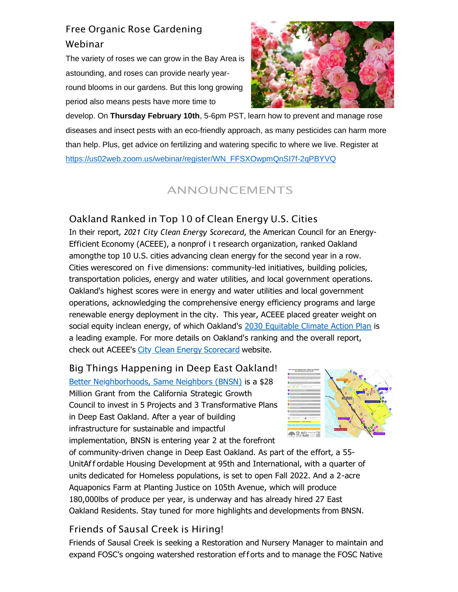## Free Organic Rose Gardening Webinar

The variety of roses we can grow in the Bay Area is astounding, and roses can provide nearly yearround blooms in our gardens. But this long growing period also means pests have more time to



develop. On **Thursday February 10th**, 5-6pm PST, learn how to prevent and manage rose diseases and insect pests with an eco-friendly approach, as many pesticides can harm more than help. Plus, get advice on fertilizing and watering specific to where we live. Register at [https://us02web.zoom.us/webinar/register/WN\\_FFSXOwpmQnSI7f-2qPBYVQ](https://oaklandca19202.lt.acemlna.com/Prod/link-tracker?notrack=1&redirectUrl=aHR0cHMlM0ElMkYlMkZ1czAyd2ViLnpvb20udXMlMkZ3ZWJpbmFyJTJGcmVnaXN0ZXIlMkZXTl9GRlNYT3dwbVFuU0k3Zi0ycVBCWVZR&sig=7KKzYV23ExW5BUuVwg8KNj3mf7juWU97q5kvCFGtSLEy&iat=1644954181&a=%7C%7C799335011%7C%7C&account=oaklandca19202%2Eactivehosted%2Ecom&email=LRRV6glqIfcVPcYsJBrMHi%2FZD%2BmsUFpJrc5fHf6IoVE%3D&s=bad97c655476f96a390a72c05a742011&i=1171A1161A11A21185)

## ANNOUNCEMENTS

## Oakland Ranked in Top 10 of Clean Energy U.S. Cities

In their report, *2021 City Clean Energy Scorecard*, the American Council for an Energy-Efficient Economy (ACEEE), a nonprof i t research organization, ranked Oakland amongthe top 10 U.S. cities advancing clean energy for the second year in a row. Cities werescored on fi ve dimensions: community-led initiatives, building policies, transportation policies, energy and water utilities, and local government operations. Oakland's highest scores were in energy and water utilities and local government operations, acknowledging the comprehensive energy efficiency programs and large renewable energy deployment in the city. This year, ACEEE placed greater weight on social equity inclean energy, of which Oakland's [2030 Equitable Climate Action Plan](https://oaklandca19202.lt.acemlna.com/Prod/link-tracker?notrack=1&redirectUrl=aHR0cCUzQSUyRiUyRnd3dy5vYWtsYW5kY2EuZ292JTJGcHJvamVjdHMlMkYyMDMwZWNhcA%3D%3D&sig=5gR9jY9SGYpcS2rYiu7mm3C3LTe8RU4SYKwnHYfkqyae&iat=1644954181&a=%7C%7C799335011%7C%7C&account=oaklandca19202%2Eactivehosted%2Ecom&email=LRRV6glqIfcVPcYsJBrMHi%2FZD%2BmsUFpJrc5fHf6IoVE%3D&s=bad97c655476f96a390a72c05a742011&i=1171A1161A11A21186) is a leading example. For more details on Oakland's ranking and the overall report, check out ACEEE's City Clean Energy [Scorecard](https://oaklandca19202.lt.acemlna.com/Prod/link-tracker?notrack=1&redirectUrl=aHR0cHMlM0ElMkYlMkZ3d3cuYWNlZWUub3JnJTJGY2l0eS1jbGVhbi1lbmVyZ3ktc2NvcmVjYXJk&sig=88kxwTxvZAPDX9V9w8cTnUq7t1JvyLsfPe64XJHrgWVd&iat=1644954181&a=%7C%7C799335011%7C%7C&account=oaklandca19202%2Eactivehosted%2Ecom&email=LRRV6glqIfcVPcYsJBrMHi%2FZD%2BmsUFpJrc5fHf6IoVE%3D&s=bad97c655476f96a390a72c05a742011&i=1171A1161A11A21187) website.

Big Things Happening in Deep East Oakland! [Better Neighborhoods, Same Neighbors \(BNSN\)](https://oaklandca19202.lt.acemlna.com/Prod/link-tracker?notrack=1&redirectUrl=aHR0cHMlM0ElMkYlMkZlYXN0b2FrbGFuZGNhLmNvbSUyRg%3D%3D&sig=2KgnP7jWEzw6mQpNDog6BBy5CbsdECSBuJaHUwpPEH39&iat=1644954181&a=%7C%7C799335011%7C%7C&account=oaklandca19202%2Eactivehosted%2Ecom&email=LRRV6glqIfcVPcYsJBrMHi%2FZD%2BmsUFpJrc5fHf6IoVE%3D&s=bad97c655476f96a390a72c05a742011&i=1171A1161A11A21249) is a \$28 Million Grant from the California Strategic Growth Council to invest in 5 Projects and 3 Transformative Plans in Deep East Oakland. After a year of building infrastructure for sustainable and impactful implementation, BNSN is entering year 2 at the forefront



of community-driven change in Deep East Oakland. As part of the effort, a 55- UnitAf f ordable Housing Development at 95th and International, with a quarter of units dedicated for Homeless populations, is set to open Fall 2022. And a 2-acre Aquaponics Farm at Planting Justice on 105th Avenue, which will produce 180,000lbs of produce per year, is underway and has already hired 27 East Oakland Residents. Stay tuned for more highlights and developments from BNSN.

#### Friends of Sausal Creek is Hiring!

Friends of Sausal Creek is seeking a Restoration and Nursery Manager to maintain and expand FOSC's ongoing watershed restoration eff orts and to manage the FOSC Native